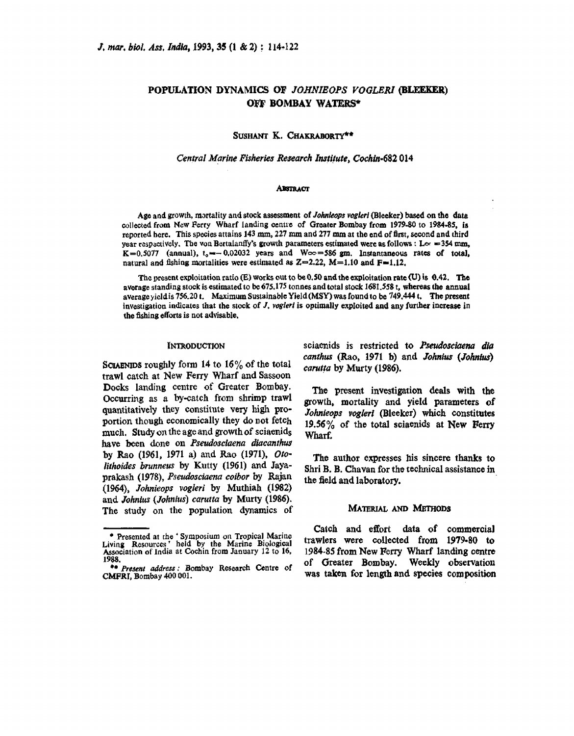# **POPULATION DYNAMICS OF JOHNIEOPS VOGLERI (BLEEKER) OFF BOMBAY WATERS\***

SUSHANT K. CHAKRABORTY\*\*

#### **Central** *Marine Firhries Research Ins\$i!ufe,* **Codin-682 014**

#### **ABSTRACT**

**Age and growth, m~rtality and stock assesment of** *J&@s* **vogkri Bleeker) bawd on tha data collected from New Perry Wharf landing centre of Oreater Bombay from 1979-80 to 1984.85, is reported bere. This species attains 143 mm, 227 mm and 277 mm at the end of first, second and third year respectively. The von Bertalanffy's growth parameters estimated were as follows : L** $\alpha$  **= 354 mm,**  $K=0.5077$  (annual),  $t_0 \rightarrow 0.02032$  years and  $W \sim 586$  gm. Instantaneous rates of total, natural and fishing mortalities were estimated as  $Z=2.22$ ,  $M=1.10$  and  $F=1.12$ ,

The **present exploitation** ratio @) **works out to be 0.50 and the exploitation rate W) is 0.42. The avaage standing stock is estimated to be675.175 tonne and total stock 1681.558 t,** tffhtrsas **the annual average ieldis 756.20 t. Maximum Sustainable Yield (MSY) was found to be 749.444 t, The went investigation indicates that the stock of** *J. vogleri* **is opthdly exploited and any further increase in**  the fishing efforts is not advisable.

#### **INTRODUCTION**

**SCUBNIDS roughly form 14 to 16% of the** total **trawl catch at New Ferry Wharf and Sassoon Docks landing centre of Greater Bombay. Occurring as a by-catch from shrimp trawl quantitatively they constitute very high proportion though economically they do not fetch much, Study on the age and growth of sciaenids have been done oa Pseudosciaena** *diacanthu*  **by Rao (1961, 1971 a) and Rao (1971), Ofo-***Iithoides brunnew* **by Kutty (1961) and Jayaprakash (19781,** *Pseudosciaem* **coibor by Rajan (1964),** *Johieaps vogleri* **by Muthiah (1982)**  and *Johnius (Johnius) carutta* by Murty (1986). **The study on the population dynamics of** 

**sciaenids** is restricted to Pseudosciaena dia  $c$ *anthus* (Rao, 1971 **b**) and *Johnius* (*Johnius*) *carutta* **by Murty (1986).** 

**The present investigation &ds with the growth, mortality and yield pameters of**  *Johnieops* **voglerl (Meeker) which constitutes**  19.56% of the **total sciaenids** at New Ferry Wharf.

**The author expresses his sincere thanks to Shri B. B. Chavan for the technical assistance in the field and laboratory.** 

#### **MATERIAL AND METHODS**

**Catch and effort data of commercial Presented at the 'Symposium on Tropical Marine Catch and effort data of commercial Presented at the 'Symposium on Tropical Marine <b>trawlers** were collected from 1979-80 to Living Resources' held by the Marine Biological trawlers were corrected from 1513-60 to<br>Association of India at Cochin from January 12 to 16, 1984-85 from New Ferry Wharf landing centre 1988. <sup>\*\*</sup> **Present address: Bombay Research Centre of** of Greater Bombay. Weekly observation **CMFRI**, Bombay 400 001. **CMFRI, Bombay 400 001. was taken for length and species corn position**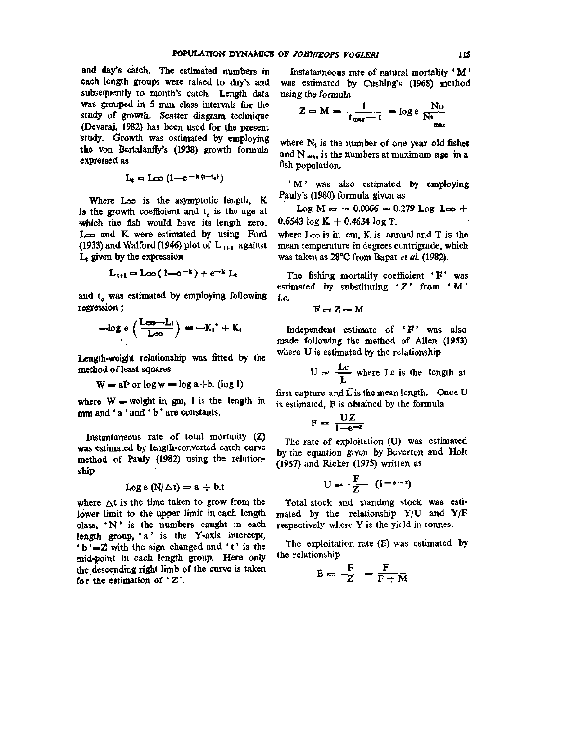and day's catch. The estimated numbers in each length groups were raised to day's and subsequently to month's catch. Length data was grouped in 5 mm class intervals for the study of growth. Scatter diagram technique (Devaraj, 1982) has been used for the present study. Growth was estimated by employing the von Bertalanffy's (1938) growth formula expressed as

$$
L_t = L\infty \left(1 - e^{-k(t-t_0)}\right)
$$

Where Loo is the asymptotic length, K is the growth coefficient and  $t<sub>o</sub>$  is the age at which the fish would have its length zero. Loo and K were estimated by using Ford (1933) and Walford (1946) plot of  $L_{1+1}$  against  $L_i$  given by the expression

$$
L_{t+1} = L\infty (1-e^{-k}) + e^{-k} L_t
$$

and  $t_0$  was estimated by employing following regression;

$$
-\log e\left(\frac{L_{\infty}-L_i}{L_{\infty}}\right) = -K_i^* + K_i
$$

Length-weight relationship was fitted by the method of least squares

$$
W = a l^b \text{ or } \log w = \log a + b. \text{ (log 1)}
$$

where  $W =$  weight in gm, 1 is the length in mm and' a ' and • b ' are constants.

Instantaneous rate of total mortality (Z) was estimated by length-converted catch curve method of Pauly (1982) using the relationship

$$
Log e (N/\triangle t) = a + b.t
$$

where  $\Delta t$  is the time taken to grow from the lower limit to the upper limit in each length class, 'N ' is the numbers caught in each length group, 'a' is the Y-axis intercept,  $b' = Z$  with the sign changed and 't' is the mid-point in each length group. Here only the descending right limb of the curve is taken for the estimation of  $Z'$ .

Instatanneous rate of natural mortality ' M ' was estimated by Cushing's (1968) method using the formula

$$
Z = M = \frac{1}{t_{\text{max}} - t} = \log e \frac{N_0}{N t_{\text{max}}}
$$

where  $N_t$  is the number of one year old fishes and  $N_{\text{max}}$  is the numbers at maximum age in a fish population.

'M' was also estimated by employing Pauly's (1980) formula given as

Log  $M = -0.0066 - 0.279$  Log Loo + 0.6543  $log K + 0.4634 log T$ .

where  $\text{L}\infty$  is in cm, K is annual and T is the mean temperature in degrees contrigrade, which was taken as 28°C from Bapat *et al.* (1982).

The fishing mortality coefficient  $'F'$  was estimated by substituting ' $Z'$  from 'M' *i.e.* 

 $F = Z - M$ 

Independent estimate of ' $F'$ ' was also made following the method of Allen (1953) where U is estimated by the relationship

$$
U = \frac{Lc}{\overline{L}}
$$
 where Lo is the length at

first capture and  $\vec{L}$  is the mean length. Once U is estimated, F is obtained by the formula

$$
F = \frac{UZ}{1-e^{-z}}
$$

The rate of exploitation (U) was estimated by the equation given by Beverton and Holt (1957) and Ricker (1975) written as

$$
U = \frac{F}{Z} \quad (i^{-\bullet - 2})
$$

Total stock and standing stock was **esti**mated by the relationship  $Y/U$  and  $Y/F$ respectively where Y is the yield in tonnes.

The exploitation rate (E) was estimated by the relationship

$$
E = -\frac{F}{Z} - \frac{F}{F + M}
$$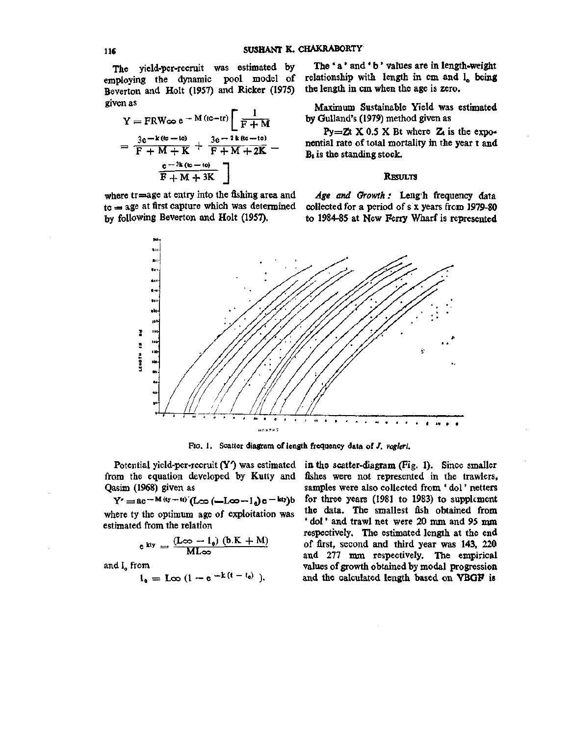The yield-per-recruit was estimated by employing the dynamic pool model of Beverton and Holt (1957) and Ricker (1975) given as

Y = FRW
$$
\infty
$$
 e<sup>-M</sup> (tc-tr) $\left[\frac{1}{F+M}\right]$   
=  $\frac{3e^{-k (tc - t_0)}}{F + M + K} + \frac{3e^{-k (tc - t_0)}}{F + M + 2K} - \frac{e^{-3k (tc - t_0)}}{F + M + 3K}\right]$ 

where tr=age at entry into the fishing area and  $tc = age$  at first capture which was determined by following Beverton and Holt (1957).

The 'a' and 'b' values are in length-weight relationship with length in cm and I<sub>o</sub> being the length in cm when the age is zero.

Maximum Sustainable Yield was estimated by Gulland's (1979) method given as

Py=Zt X 0.5 X Bt where Z is the exponential rate of total mortality in the year t and  $B_t$  is the standing stock.

#### **RESULTS**

Age and Growth: Length frequency data collected for a period of s x years from 1979-80 to 1984-85 at New Ferry Wharf is represented



Ro. 1. Scatter diagram of length frequency data of/, *vogleri.* 

Potential yield-per-recruit  $(Y')$  was estimated in the scatter-diagram (Fig. 1). Since smaller from the equation developed by Kutty and Qasim (1968) given as

 $Y' = ae^{-x} M(y+tv) [L\infty (-L\infty - 1_0) e^{-k(y)}]$ where ty the optimum age of exploitation was estimated from the relation

$$
e^{kty}=\frac{(L\infty-l_0)\ (b.K+M)}{ML\infty}
$$

and 1, from

$$
1_0 = \text{Loc } (1 - e^{-k(t - t_0)}).
$$

fishes were not represented in the trawlers, samples were also collected from ' dol' netters for three years (1981 to 1983) to supplement the data. The smallest fish obtained from ' dol' and trawl net were 20 mm and 95 mm respectively. The estimated length at the end of first, second and third year was 143, 220 and 277 mm respectively. The empirical values of growth obtained by modal progression and the calculated length based on VBGF is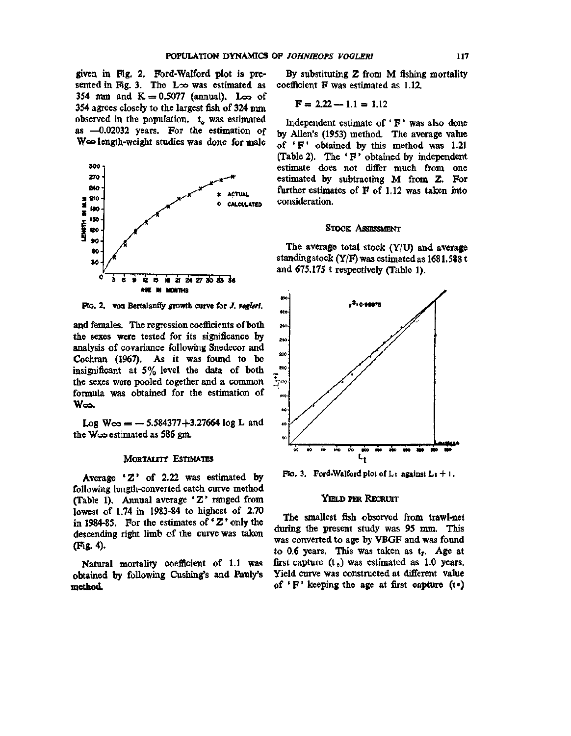given in Fig. 2. Ford-Walford plot is presented in Fig. 3. The  $\text{L}\infty$  was estimated as 354 mm and  $K = 0.5077$  (annual). Loo of 354 agrees closely to the largest fish of 324 mm observed in the population,  $t_{\alpha}$  was estimated as —0.02032 years. For the estimation of Woo length-weight studies was done for male



pro. 2. Von Bertalanify growth curve for /. *vogleri.* 

and females. The regression coefficients of both the sexes were tested for its significance by analysis of covariance following Snedecor and Cochran (1967). As it was found to be insignificant at 5% level the data of both the sexes were pooled together and a common formula was obtained for the estimation of Woo.

 $Log W\infty = -5.584377 + 3.27664 log L and$ the W $\infty$  estimated as 586 gm.

#### MoRTAUTY ESTIMATES

Average 'Z' of 2.22 was estimated by following length-converted catch curve method (Table 1). Annual average 'Z ' ranged from lowest of 1.74 in 1983-84 to highest of 2.70 in 1984-85. For the estimates of 'Z' only the descending right limb of the curve was taken (Fig. 4).

Natural mortality coefficient of 1.1 was obtained by following Cushing's and Pauly's method.

By substituting Z from M fishing mortality coefficient F was estimated as 1.12.

$$
F = 2.22 - 1.1 = 1.12
$$

Independent estimate of  $F'$  was also done by Allen's (1953) method. The average value of  $\mathbf{F}$  obtained by this method was 1.21 (Table 2). The ' F ' obtained by independent estimate does not differ much from one estimated by subtracting M from Z. For further estimates of  $F$  of 1.12 was taken into consideration.

#### STOCK ASSESSMENT

The average total stock  $(Y/U)$  and average standing stock  $(Y/F)$  was estimated as 1681.588 t and 675.175 t respectively (Table 1).



FIG. 3. Ford-Walford plot of L<sub>t</sub> against  $L_1 + 1$ .

### YIELD PER RECRUIT

The smallest fish observed from trawl-net during the present study was 95 mm. This was converted to age by VBGF and was found to 0.6 years. This was taken as t<sub>r</sub>. Age at first capture  $(t_c)$  was estimated as 1.0 years. Yield curve was constructed at different value of  $'F'$  keeping the age at first capture (to)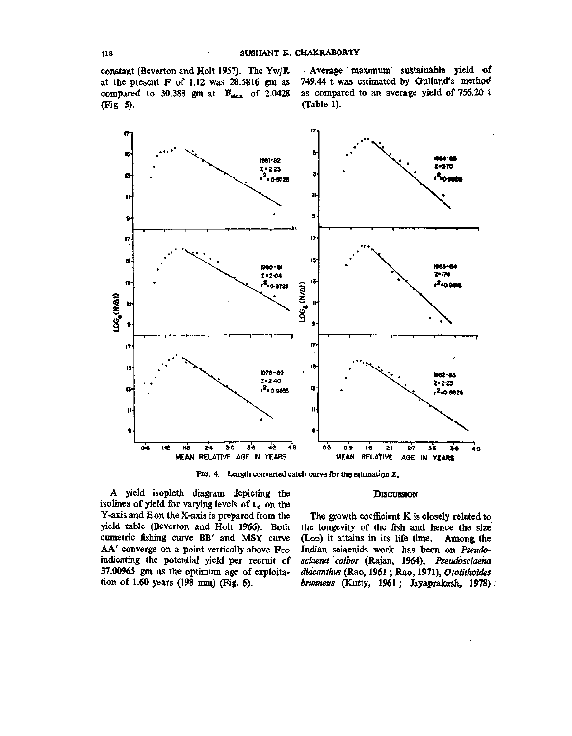constant (Beverton and Holt 1957). The Yw/R at the present  $F$  of 1.12 was 28.5816 gm as compared to 30.388 gm at  $F_{max}$  of 2.0428 (Fig. 5).

Average maximum sustainable yield of 749.44 t was estimated by Gulland's method as compared to an average yield of 756.20  $\ell$ (Table 1).



Fio. 4. Length converted catch curve for the estimation Z.

#### **DISCUSSION**

A yield isopleth diagram depicting the isolines of yield for varying levels of  $t_c$  on the Y-axis and E on the X-axis is prepared from the yield table (Beverton and Holt 1966). Both eumetric fishing curve BB' and MSY curve AA' converge on a point vertically above Foo indicating the potential yield per recruit of 37.00965 gm as the optimum age of exploitation of 1.60 years (198 mm) (Fig. 6).

The growth coefficient K is closely related to the longevity of the fish and hence the size (Loo) it attains in its life time. Among the Indian sciaenids work has been on *Pseudosciaena coibor* (Rajan, 1964), *Pseudosciaend diacanthus* (Rao, 1961 ; Rao, 1971), *Otolithoides brunneus* (Kutty, 1961; Jayaprakash, 1978).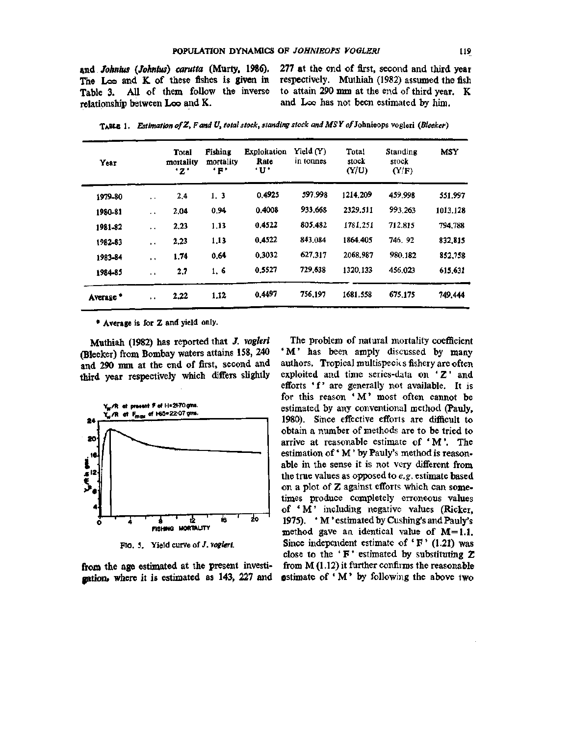*md Joknius {Johnius) earutta* (Murty, **1986).**  The Loo and K of these fishes is given in Table 3. All of them follow the inverse relationship between Loo and K.

277 at the end of first, second and third year respectively. Muthiah (1982) assumed the fish to attain 290 mm at the end of third year. K and Loo has not been estimated by him.

| Year                 |                      | Total<br>mortality<br>* z * | Fishing<br>mortality<br>$\cdot$ F $\cdot$ | <b>Exploitation</b><br>Rate<br><b>'U'</b> | Yield $(Y)$<br>in tonnes | Total<br>stock<br>(Y/U) | Standing<br>stock<br>(Y/F) | <b>MSY</b> |
|----------------------|----------------------|-----------------------------|-------------------------------------------|-------------------------------------------|--------------------------|-------------------------|----------------------------|------------|
| 1979-80              | $\ddot{\phantom{1}}$ | 2.4                         | 1.3                                       | 0.4925                                    | 597.998                  | 1214.209                | 459.998                    | 551.997    |
| 1980-81              | $\ddot{\phantom{1}}$ | 2.04                        | 0.94                                      | 0.4008                                    | 933.668                  | 2329.511                | 993.263                    | 1013.128   |
| 1981-82              | $\ddot{\phantom{1}}$ | 2.23                        | 1.13                                      | 0.4522                                    | 805.482                  | 1781,251                | 712.815                    | 794.788    |
| 1982-83              | $\ddot{\phantom{0}}$ | 2.23                        | 1.13                                      | 0.4522                                    | 843.084                  | 1864.405                | 746.92                     | 832,815    |
| 1983-84              | $\ddot{\phantom{0}}$ | 1.74                        | 0.64                                      | 0.3032                                    | 627.317                  | 2068.987                | 980.182                    | 852,758    |
| 1984-85              | $\ddot{\phantom{1}}$ | 2.7                         | 1, 6                                      | 0.5527                                    | 729,638                  | 1320.133                | 456.023                    | 615.631    |
| Average <sup>*</sup> | $\ddot{\phantom{1}}$ | 2.22                        | 1.12                                      | 0.4497                                    | 756,197                  | 1681.558                | 675,175                    | 749.444    |

TABLE 1. Estimation of Z, F and U, total stock, standing stock and MSY of Johnieops vogleri (Bleeker)

• Average is for Z and yield only.

Muthiah (1982) has reported that *J. vogleri*  (Bleeker) from Bombay waters attains 158, 240 and 290 mm at the end of first, second and third year respectively which differs slightly



FiQ. 5. Yield curve of *J. vogleri.* 

**from** the age estimated at the present investigation\* where it is estimated as **143,** 227 and

The problem of natural mortality coefficient 'M' has been amply discussed by many authors. Tropical multispecics fishery are often exploited and time series-data on  $Z'$  and efforts 'f' are generally not available. It is for this reason 'M' most often cannot be estimated by any conventional method (Pauly, 1980). Since effective efforts are difficult to obtain a number of methods are to be tried to arrive at reasonable estimate of ' M'. The estimation of' M' by Pauly's method is reasonable in the sense it is not very different from the true values as opposed to *e.g.* estimate based on a plot of Z against efforts which can sometimes produce completely erroneous values of 'M' including negative values (Ricker, 1975). ' M' estimated by Cushing's and Pauly's method gave an identical value of M=1.1. Since independent estimate of  $\mathbf{F}$  (1.21) was close to the  $\mathbf{F}'$  estimated by substituting  $\mathbf Z$ from M (1.12) it further confirms the reasonable estimate of  $^{\circ}$  M  $^{\circ}$  by following the above two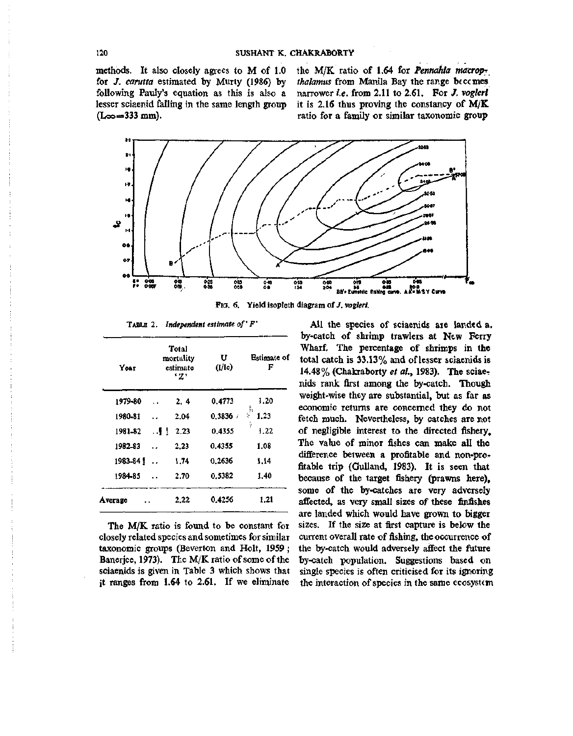methods. It also closely agrees to M of 1.0 for /. *carutta* estimated by Murty (1986) by following Pauly's equation as this is also a lesser sciaenid falling in the same length group  $(L_{\infty} = 333 \text{ mm})$ .

the M/K ratio of 1.64 for *Pennahia macropthalamus* from Manila Bay the range beccmes narrower *i.e.* from 2.11 to 2.61. For /. *vogleri*  it is 2.16 thus proving the constancy of M/K ratio for a family or similar taxonomic group



Fio. 6. Yield isopleth diagram of /, *vogleri.* 

| <b>TABLE 2.</b> Independent estimate of $F'$ |  |  |  |
|----------------------------------------------|--|--|--|
|----------------------------------------------|--|--|--|

| Year    | Total<br>mortality<br>estimate<br>'Z' |      | U<br>(1/1c) | <b>Estimate of</b><br>F |  |
|---------|---------------------------------------|------|-------------|-------------------------|--|
| 1979-80 |                                       | 2.4  | 0.4773      | 1.20                    |  |
| 1980-81 |                                       | 2.04 | 0.3836      | þ,<br>ţ.<br>1.23        |  |
| 1981-82 | $\mathbf{H}$ .                        | 2.23 | 0.4355      | ÿ.<br>1.22              |  |
| 1982-83 |                                       | 2.23 | 0.4355      | 1.08                    |  |
| 1983-84 | $\cdot$                               | 1.74 | 0.2636      | 1.14                    |  |
| 1984-85 |                                       | 2.70 | 0.5382      | 1.40                    |  |
| Average |                                       | 2.22 | 0.4256      | 1.21                    |  |

The M/K ratio is found to be constant for closely related species and sometimes for similar taxonomic groups (Beverton and Holt, 1959; Banerjee, 1973). The M/K ratio of some of the sciaenids is given in Table 3 which shows that it ranges from 1.64 to 2.61. If we eliminate

All the species of sciaenids are landed a. by-catch of shrimp trawlers at New Ferry Wharf, The percentage of shrimps in the total catch is 33.13% and of lesser sciaenids is 14.48% (Chakraborty *et al,* 1983). The sciaenids rank first among the by-catch. Though weight-wise they are substantial, but as far as economic returns are concerned they do not fetch much. Nevertheless, by catches are not of negligible interest to the directed fishery. The value of minor fishes can make all the difference between a profitable and non-profitable trip (GuUand, 1983). It is seen that because of the target fishery (prawns here), some of the by-catches are very adversely affected, as very small sizes of these finfishes are landed which would have grown to bigger sizes. If the size at first capture is below the current overall rate of fishing, the occurrence of the by-catch would adversely affect the future by-catch population. Suggestions based on single species is often criticised for its ignoring the interaction of species in the same ecosystem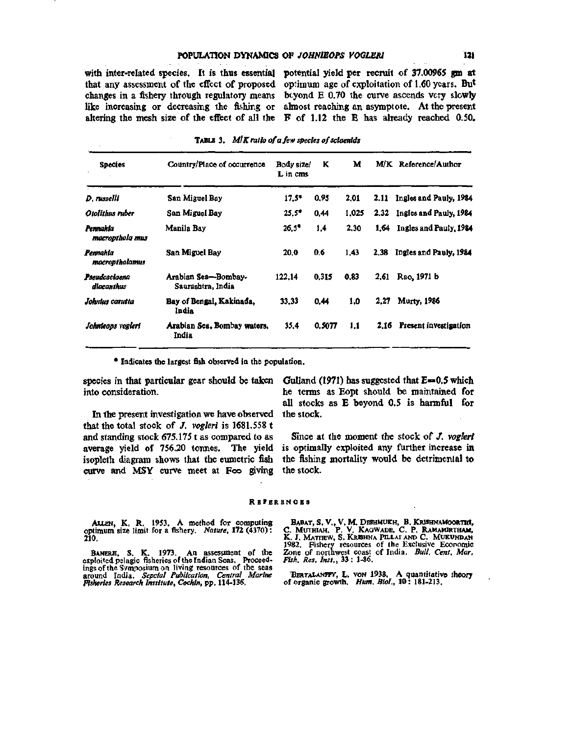## **POPULATION DYNAMICS OF** *JOHNlEOfS VOGLEMl* **121**

that any assessment of the effect of proposed optimum age of exploitation of 1.60 years. But changes in a fishery through regulatory means beyond E 0.70 the curve ascends very slowly like increasing or decreasing the fishing or almost reaching an asymptote. At the present altering the mesh size of the effect of all the F of 1.12 the E has already reached 0.50.

with inter-related species. It is thus essential potential yield per recruit of 37.00965 gm at

| <b>Species</b>              | Country/Place of occurrence              | Body size/<br>L in cms | ĸ      | м     |      | M/K Reference/Author        |
|-----------------------------|------------------------------------------|------------------------|--------|-------|------|-----------------------------|
| D. russelli                 | San Miguel Bay                           | $17.5*$                | 0.95   | 2.01  |      | 2.11 Ingles and Pauly, 1984 |
| Otolithus ruber             | San Miguel Bay                           | $25.5^*$               | 0.44   | 1.025 |      | 2.32 Ingles and Pauly, 1984 |
| Pennahia<br>macropthola mus | Manila Bay                               | $26.5^{\circ}$         | 1.4    | 2.30  | 1.64 | Ingles and Pauly, 1984      |
| Pennahia<br>macropthalamus  | San Miguel Bay                           | 20.0                   | 0.6    | 1.43  | 2.38 | Ingles and Pauly, 1984      |
| Pseudosciaena<br>diacanthus | Arabian Sea-Bombay-<br>Saurashtra, India | 122.14                 | 0.315  | 0.83  | 2,61 | Rao, 1971 b                 |
| Johnius carutta             | Bay of Bengal, Kakinada,<br>India        | 33.33                  | 0.44   | 1.0   | 2.27 | <b>Murty</b> , 1986         |
| Johnleops vogleri           | Arabian Sea, Bombay waters,<br>India     | 35.4                   | 0.5077 | 1.1   |      | 2.16 Present investigation  |

|  |  |  |  |  |  | <b>TABLE 3.</b> $M/K$ ratio of a few species of sciaenids |
|--|--|--|--|--|--|-----------------------------------------------------------|
|--|--|--|--|--|--|-----------------------------------------------------------|

**• Indicates the largest fish observed in the population.** 

into consideration.

In the present investigation we have observed that the total stock of /. *vogleri* is 1681.558 t and standing stock  $675.175$  t as compared to as average yield of 756.20 tonnes. The yield isopleth diagram shows that the eimetric fish curve and MSY curve meet at Foo giving

species in that particular gear should be taken Gulland (1971) has suggested that E—0.5 which he terms as Eopt should be maintained for all stocks as E beyond 0.5 is harmful for the stock.

> Since at the moment the stock of J. vogleri is optimally exploited any further increase in the fishing mortality would be detrimental to the stock.

#### **RB'ERENOB S**

**AlXEN, K. R. 1953. A method for computing optimum size limit for a fishery.** *Nature,* **172 (4370): 210.** 

**BANERn, S. K. 1973. An assessment of the exploited pelagic fisheries of the Indian Seas. Proceed-ings of the Symposium on living resources of the seas around India.** *Sepcial Publication, Central Marine Fisheries Research Institute, Cochin,* **pp. 114-136.** 

Babat, S. V., V. M. Deshmukh, B. Krishnamoorthi,<br>C. Muthiah, P. V. Kagwade, C. P. Ramamirtham,<br>K. J. Mathew, S. Krishna Pillai and C. Mukundan **1982. Fishery resources of the Exclusive Economic Zone of northwest coast of India.** *Bull. Cent. Mar. Fish. Res. Inst.,* **33 : 1-86.** 

**BERTALANFFY, L. VON 1938. A quantitative theory of organic growth.** *Hum. Biol.,* **10: 181-213.**